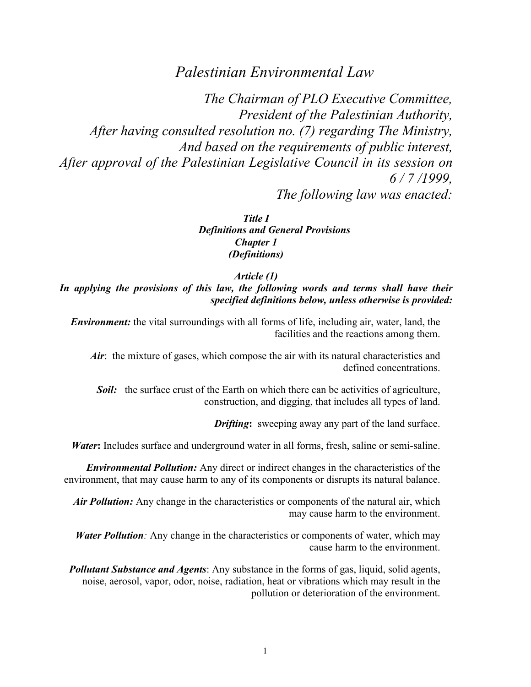# *Palestinian Environmental Law*

*The Chairman of PLO Executive Committee, President of the Palestinian Authority, After having consulted resolution no. (7) regarding The Ministry, And based on the requirements of public interest, After approval of the Palestinian Legislative Council in its session on 6 / 7 /1999, The following law was enacted:*

> *Title I Definitions and General Provisions Chapter 1 (Definitions)*

> > *Article (1)*

In applying the provisions of this law, the following words and terms shall have their *specified definitions below, unless otherwise is provided:*

*Environment:* the vital surroundings with all forms of life, including air, water, land, the facilities and the reactions among them.

*Air*: the mixture of gases, which compose the air with its natural characteristics and defined concentrations.

*Soil:* the surface crust of the Earth on which there can be activities of agriculture, construction, and digging, that includes all types of land.

*Drifting***:**sweeping away any part of the land surface.

*Water***:** Includes surface and underground water in all forms, fresh, saline or semi-saline.

*Environmental Pollution:* Any direct or indirect changes in the characteristics of the environment, that may cause harm to any of its components or disrupts its natural balance.

*Air Pollution:* Any change in the characteristics or components of the natural air, which may cause harm to the environment.

*Water Pollution:* Any change in the characteristics or components of water, which may cause harm to the environment.

*Pollutant Substance and Agents*: Any substance in the forms of gas, liquid, solid agents, noise, aerosol, vapor, odor, noise, radiation, heat or vibrations which may result in the pollution or deterioration of the environment.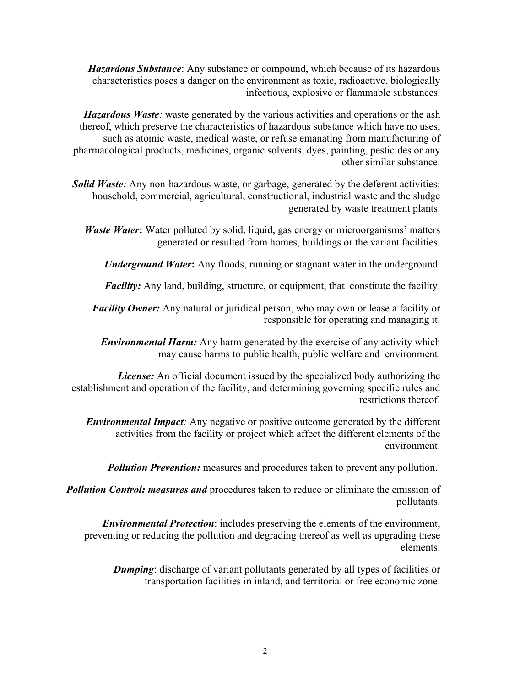*Hazardous Substance*: Any substance or compound, which because of its hazardous characteristics poses a danger on the environment as toxic, radioactive, biologically infectious, explosive or flammable substances.

*Hazardous Waste*: waste generated by the various activities and operations or the ash thereof, which preserve the characteristics of hazardous substance which have no uses, such as atomic waste, medical waste, or refuse emanating from manufacturing of pharmacological products, medicines, organic solvents, dyes, painting, pesticides or any other similar substance.

*Solid Waste:* Any non-hazardous waste, or garbage, generated by the deferent activities: household, commercial, agricultural, constructional, industrial waste and the sludge generated by waste treatment plants.

*Waste Water***:** Water polluted by solid, liquid, gas energy or microorganisms' matters generated or resulted from homes, buildings or the variant facilities.

*Underground Water***:** Any floods, running or stagnant water in the underground.

*Facility:* Any land, building, structure, or equipment, that constitute the facility.

*Facility Owner:* Any natural or juridical person, who may own or lease a facility or responsible for operating and managing it.

*Environmental Harm:* Any harm generated by the exercise of any activity which may cause harms to public health, public welfare and environment.

*License:* An official document issued by the specialized body authorizing the establishment and operation of the facility, and determining governing specific rules and restrictions thereof.

*Environmental Impact:* Any negative or positive outcome generated by the different activities from the facility or project which affect the different elements of the environment.

*Pollution Prevention:* measures and procedures taken to prevent any pollution.

*Pollution Control: measures and* procedures taken to reduce or eliminate the emission of pollutants.

*Environmental Protection*: includes preserving the elements of the environment, preventing or reducing the pollution and degrading thereof as well as upgrading these elements.

*Dumping*: discharge of variant pollutants generated by all types of facilities or transportation facilities in inland, and territorial or free economic zone.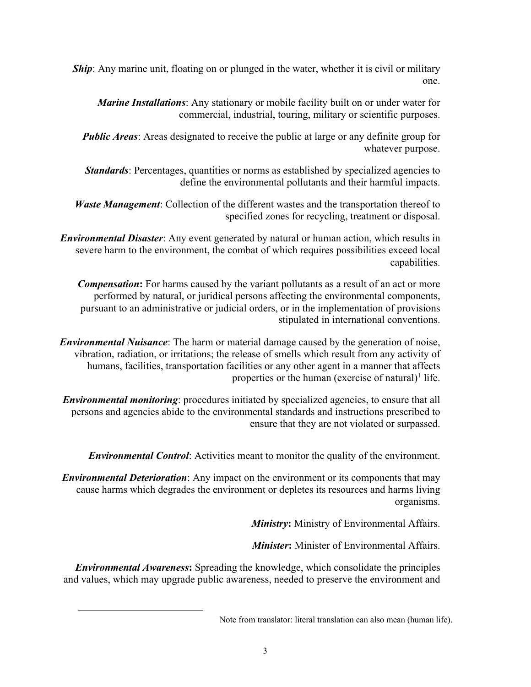*Ship*: Any marine unit, floating on or plunged in the water, whether it is civil or military one.

*Marine Installations*: Any stationary or mobile facility built on or under water for commercial, industrial, touring, military or scientific purposes.

*Public Areas*: Areas designated to receive the public at large or any definite group for whatever purpose.

*Standards*: Percentages, quantities or norms as established by specialized agencies to define the environmental pollutants and their harmful impacts.

*Waste Management*: Collection of the different wastes and the transportation thereof to specified zones for recycling, treatment or disposal.

*Environmental Disaster*: Any event generated by natural or human action, which results in severe harm to the environment, the combat of which requires possibilities exceed local capabilities.

*Compensation***:** For harms caused by the variant pollutants as a result of an act or more performed by natural, or juridical persons affecting the environmental components, pursuant to an administrative or judicial orders, or in the implementation of provisions stipulated in international conventions.

*Environmental Nuisance*: The harm or material damage caused by the generation of noise, vibration, radiation, or irritations; the release of smells which result from any activity of humans, facilities, transportation facilities or any other agent in a manner that affects properties or the human (exercise of natural)<sup>1</sup> life.

*Environmental monitoring*: procedures initiated by specialized agencies, to ensure that all persons and agencies abide to the environmental standards and instructions prescribed to ensure that they are not violated or surpassed.

*Environmental Control*: Activities meant to monitor the quality of the environment.

*Environmental Deterioration*: Any impact on the environment or its components that may cause harms which degrades the environment or depletes its resources and harms living organisms.

*Ministry***:** Ministry of Environmental Affairs.

*Minister***:** Minister of Environmental Affairs.

*Environmental Awareness***:** Spreading the knowledge, which consolidate the principles and values, which may upgrade public awareness, needed to preserve the environment and

 $\overline{\phantom{a}}$ 

Note from translator: literal translation can also mean (human life).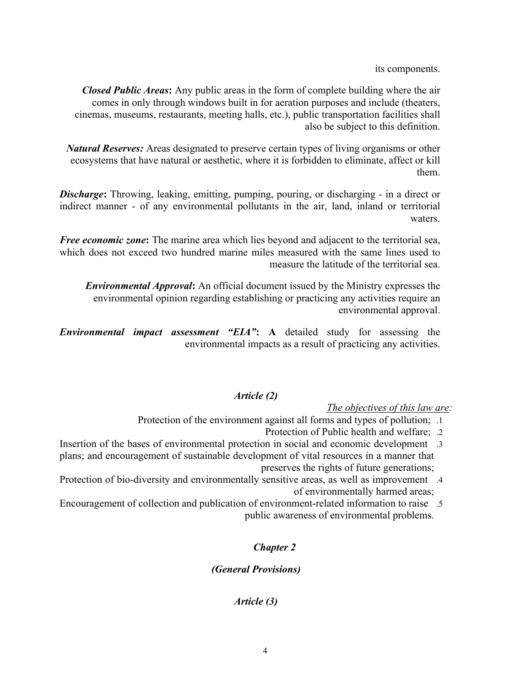its components.

*Closed Public Areas***:** Any public areas in the form of complete building where the air comes in only through windows built in for aeration purposes and include (theaters, cinemas, museums, restaurants, meeting halls, etc.), public transportation facilities shall also be subject to this definition.

*Natural Reserves:* Areas designated to preserve certain types of living organisms or other ecosystems that have natural or aesthetic, where it is forbidden to eliminate, affect or kill them.

**Discharge:** Throwing, leaking, emitting, pumping, pouring, or discharging - in a direct or indirect manner - of any environmental pollutants in the air, land, inland or territorial waters.

*Free economic zone***:** The marine area which lies beyond and adjacent to the territorial sea, which does not exceed two hundred marine miles measured with the same lines used to measure the latitude of the territorial sea.

*Environmental Approval***:** An official document issued by the Ministry expresses the environmental opinion regarding establishing or practicing any activities require an environmental approval.

*Environmental impact assessment "EIA"***: A** detailed study for assessing the environmental impacts as a result of practicing any activities.

# *Article (2)*

*The objectives of this law are:*

- Protection of the environment against all forms and types of pollution; . 1
	- Protection of Public health and welfare; . 2
- Insertion of the bases of environmental protection in social and economic development . 3 plans; and encouragement of sustainable development of vital resources in a manner that preserves the rights of future generations;
- Protection of bio-diversity and environmentally sensitive areas, as well as improvement . 4 of environmentally harmed areas;
- Encouragement of collection and publication of environment-related information to raise . 5 public awareness of environmental problems.

# *Chapter 2*

# *(General Provisions)*

# *Article (3)*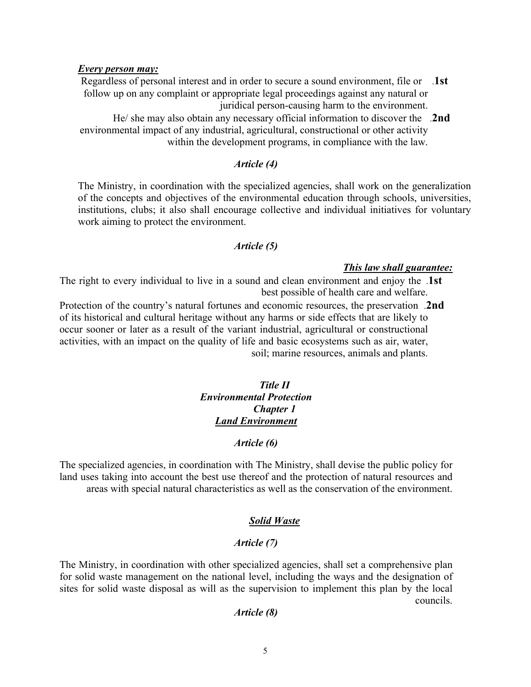# *Every person may:*

Regardless of personal interest and in order to secure a sound environment, file or .**1st** follow up on any complaint or appropriate legal proceedings against any natural or juridical person-causing harm to the environment.

He/ she may also obtain any necessary official information to discover the .**2nd** environmental impact of any industrial, agricultural, constructional or other activity within the development programs, in compliance with the law.

# *Article (4)*

The Ministry, in coordination with the specialized agencies, shall work on the generalization of the concepts and objectives of the environmental education through schools, universities, institutions, clubs; it also shall encourage collective and individual initiatives for voluntary work aiming to protect the environment.

# *Article (5)*

#### *This law shall guarantee:*

The right to every individual to live in a sound and clean environment and enjoy the .**1st** best possible of health care and welfare.

Protection of the country's natural fortunes and economic resources, the preservation .**2nd** of its historical and cultural heritage without any harms or side effects that are likely to occur sooner or later as a result of the variant industrial, agricultural or constructional activities, with an impact on the quality of life and basic ecosystems such as air, water, soil; marine resources, animals and plants.

# *Title II Environmental Protection Chapter 1 Land Environment*

# *Article (6)*

The specialized agencies, in coordination with The Ministry, shall devise the public policy for land uses taking into account the best use thereof and the protection of natural resources and areas with special natural characteristics as well as the conservation of the environment.

# *Solid Waste*

#### *Article (7)*

The Ministry, in coordination with other specialized agencies, shall set a comprehensive plan for solid waste management on the national level, including the ways and the designation of sites for solid waste disposal as will as the supervision to implement this plan by the local councils.

## *Article (8)*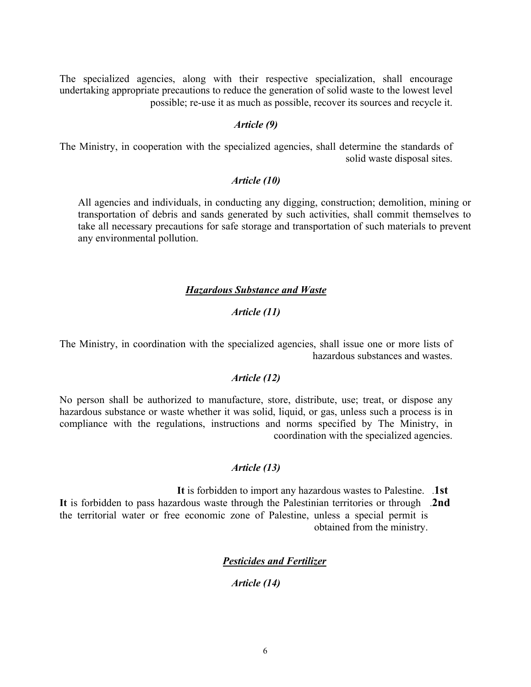The specialized agencies, along with their respective specialization, shall encourage undertaking appropriate precautions to reduce the generation of solid waste to the lowest level possible; re-use it as much as possible, recover its sources and recycle it.

# *Article (9)*

The Ministry, in cooperation with the specialized agencies, shall determine the standards of solid waste disposal sites.

# *Article (10)*

All agencies and individuals, in conducting any digging, construction; demolition, mining or transportation of debris and sands generated by such activities, shall commit themselves to take all necessary precautions for safe storage and transportation of such materials to prevent any environmental pollution.

# *Hazardous Substance and Waste*

# *Article (11)*

The Ministry, in coordination with the specialized agencies, shall issue one or more lists of hazardous substances and wastes.

# *Article (12)*

No person shall be authorized to manufacture, store, distribute, use; treat, or dispose any hazardous substance or waste whether it was solid, liquid, or gas, unless such a process is in compliance with the regulations, instructions and norms specified by The Ministry, in coordination with the specialized agencies.

# *Article (13)*

**It** is forbidden to import any hazardous wastes to Palestine. .**1st It** is forbidden to pass hazardous waste through the Palestinian territories or through .**2nd** the territorial water or free economic zone of Palestine, unless a special permit is obtained from the ministry.

# *Pesticides and Fertilizer*

# *Article (14)*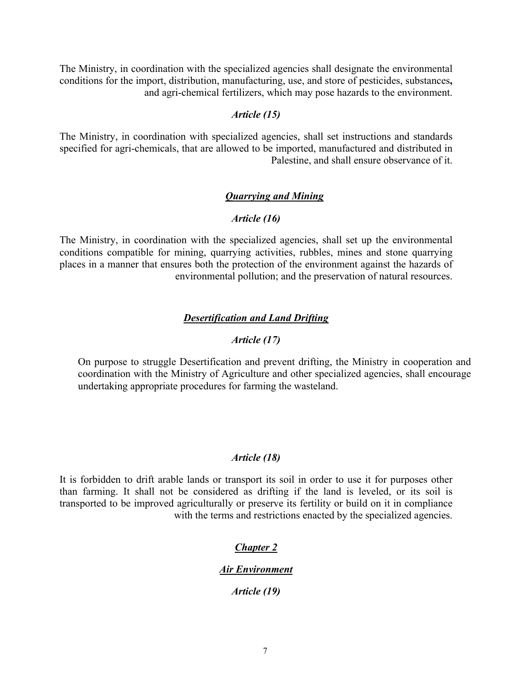The Ministry, in coordination with the specialized agencies shall designate the environmental conditions for the import, distribution, manufacturing, use, and store of pesticides, substances**,**  and agri-chemical fertilizers, which may pose hazards to the environment.

# *Article (15)*

The Ministry, in coordination with specialized agencies, shall set instructions and standards specified for agri-chemicals, that are allowed to be imported, manufactured and distributed in Palestine, and shall ensure observance of it.

# *Quarrying and Mining*

# *Article (16)*

The Ministry, in coordination with the specialized agencies, shall set up the environmental conditions compatible for mining, quarrying activities, rubbles, mines and stone quarrying places in a manner that ensures both the protection of the environment against the hazards of environmental pollution; and the preservation of natural resources.

## *Desertification and Land Drifting*

# *Article (17)*

On purpose to struggle Desertification and prevent drifting, the Ministry in cooperation and coordination with the Ministry of Agriculture and other specialized agencies, shall encourage undertaking appropriate procedures for farming the wasteland.

### *Article (18)*

It is forbidden to drift arable lands or transport its soil in order to use it for purposes other than farming. It shall not be considered as drifting if the land is leveled, or its soil is transported to be improved agriculturally or preserve its fertility or build on it in compliance with the terms and restrictions enacted by the specialized agencies.

# *Chapter 2*

# *Air Environment*

*Article (19)*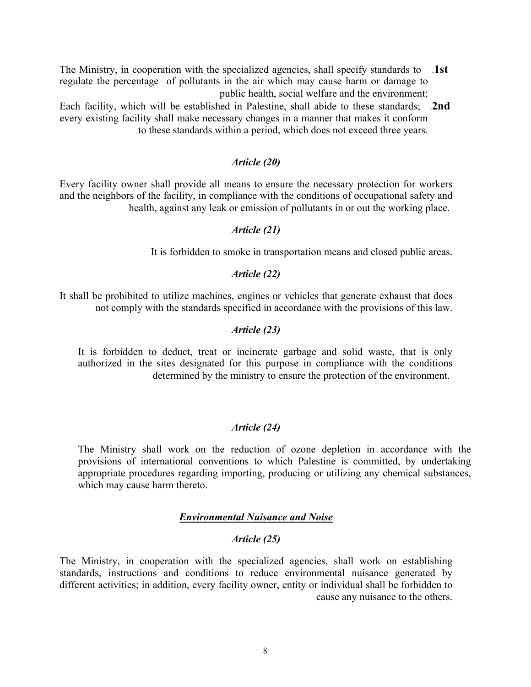- The Ministry, in cooperation with the specialized agencies, shall specify standards to .**1st** regulate the percentage of pollutants in the air which may cause harm or damage to public health, social welfare and the environment;
- Each facility, which will be established in Palestine, shall abide to these standards; .**2nd** every existing facility shall make necessary changes in a manner that makes it conform to these standards within a period, which does not exceed three years.

# *Article (20)*

Every facility owner shall provide all means to ensure the necessary protection for workers and the neighbors of the facility, in compliance with the conditions of occupational safety and health, against any leak or emission of pollutants in or out the working place.

### *Article (21)*

It is forbidden to smoke in transportation means and closed public areas.

# *Article (22)*

It shall be prohibited to utilize machines, engines or vehicles that generate exhaust that does not comply with the standards specified in accordance with the provisions of this law.

# *Article (23)*

It is forbidden to deduct, treat or incinerate garbage and solid waste, that is only authorized in the sites designated for this purpose in compliance with the conditions determined by the ministry to ensure the protection of the environment.

#### *Article (24)*

The Ministry shall work on the reduction of ozone depletion in accordance with the provisions of international conventions to which Palestine is committed, by undertaking appropriate procedures regarding importing, producing or utilizing any chemical substances, which may cause harm thereto.

# *Environmental Nuisance and Noise*

# *Article (25)*

The Ministry, in cooperation with the specialized agencies, shall work on establishing standards, instructions and conditions to reduce environmental nuisance generated by different activities; in addition, every facility owner, entity or individual shall be forbidden to cause any nuisance to the others.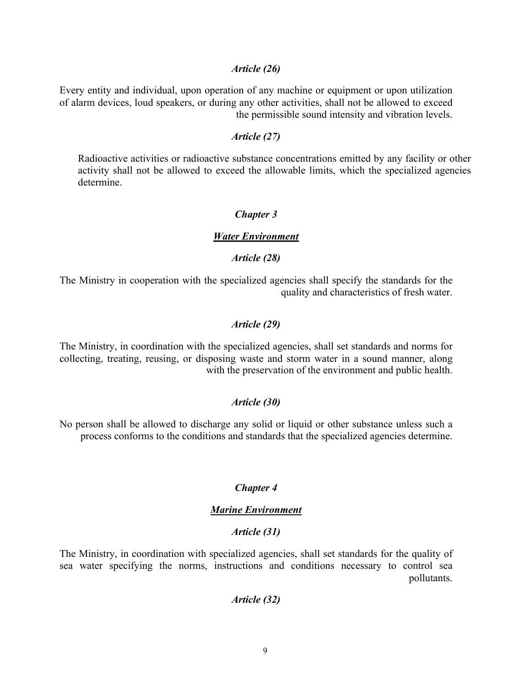#### *Article (26)*

Every entity and individual, upon operation of any machine or equipment or upon utilization of alarm devices, loud speakers, or during any other activities, shall not be allowed to exceed the permissible sound intensity and vibration levels.

#### *Article (27)*

Radioactive activities or radioactive substance concentrations emitted by any facility or other activity shall not be allowed to exceed the allowable limits, which the specialized agencies determine.

## *Chapter 3*

#### *Water Environment*

# *Article (28)*

The Ministry in cooperation with the specialized agencies shall specify the standards for the quality and characteristics of fresh water.

# *Article (29)*

The Ministry, in coordination with the specialized agencies, shall set standards and norms for collecting, treating, reusing, or disposing waste and storm water in a sound manner, along with the preservation of the environment and public health.

### *Article (30)*

No person shall be allowed to discharge any solid or liquid or other substance unless such a process conforms to the conditions and standards that the specialized agencies determine.

# *Chapter 4*

# *Marine Environment*

# *Article (31)*

The Ministry, in coordination with specialized agencies, shall set standards for the quality of sea water specifying the norms, instructions and conditions necessary to control sea pollutants.

#### *Article (32)*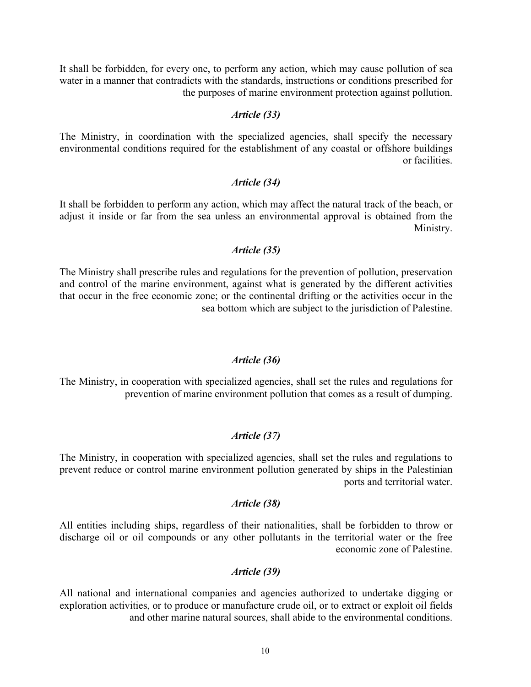It shall be forbidden, for every one, to perform any action, which may cause pollution of sea water in a manner that contradicts with the standards, instructions or conditions prescribed for the purposes of marine environment protection against pollution.

# *Article (33)*

The Ministry, in coordination with the specialized agencies, shall specify the necessary environmental conditions required for the establishment of any coastal or offshore buildings or facilities.

# *Article (34)*

It shall be forbidden to perform any action, which may affect the natural track of the beach, or adjust it inside or far from the sea unless an environmental approval is obtained from the Ministry.

# *Article (35)*

The Ministry shall prescribe rules and regulations for the prevention of pollution, preservation and control of the marine environment, against what is generated by the different activities that occur in the free economic zone; or the continental drifting or the activities occur in the sea bottom which are subject to the jurisdiction of Palestine.

#### *Article (36)*

The Ministry, in cooperation with specialized agencies, shall set the rules and regulations for prevention of marine environment pollution that comes as a result of dumping.

# *Article (37)*

The Ministry, in cooperation with specialized agencies, shall set the rules and regulations to prevent reduce or control marine environment pollution generated by ships in the Palestinian ports and territorial water.

### *Article (38)*

All entities including ships, regardless of their nationalities, shall be forbidden to throw or discharge oil or oil compounds or any other pollutants in the territorial water or the free economic zone of Palestine.

# *Article (39)*

All national and international companies and agencies authorized to undertake digging or exploration activities, or to produce or manufacture crude oil, or to extract or exploit oil fields and other marine natural sources, shall abide to the environmental conditions.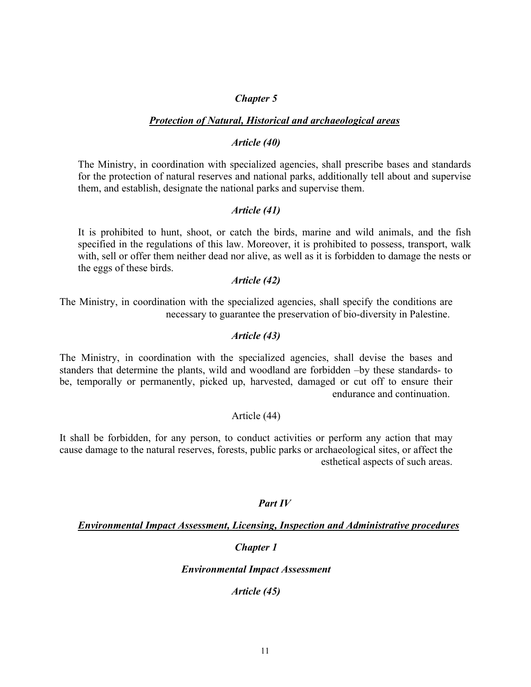## *Chapter 5*

### *Protection of Natural, Historical and archaeological areas*

# *Article (40)*

The Ministry, in coordination with specialized agencies, shall prescribe bases and standards for the protection of natural reserves and national parks, additionally tell about and supervise them, and establish, designate the national parks and supervise them.

## *Article (41)*

It is prohibited to hunt, shoot, or catch the birds, marine and wild animals, and the fish specified in the regulations of this law. Moreover, it is prohibited to possess, transport, walk with, sell or offer them neither dead nor alive, as well as it is forbidden to damage the nests or the eggs of these birds.

### *Article (42)*

The Ministry, in coordination with the specialized agencies, shall specify the conditions are necessary to guarantee the preservation of bio-diversity in Palestine.

#### *Article (43)*

The Ministry, in coordination with the specialized agencies, shall devise the bases and standers that determine the plants, wild and woodland are forbidden –by these standards- to be, temporally or permanently, picked up, harvested, damaged or cut off to ensure their endurance and continuation.

# Article (44)

It shall be forbidden, for any person, to conduct activities or perform any action that may cause damage to the natural reserves, forests, public parks or archaeological sites, or affect the esthetical aspects of such areas.

#### *Part IV*

## *Environmental Impact Assessment, Licensing, Inspection and Administrative procedures*

# *Chapter 1*

*Environmental Impact Assessment*

*Article (45)*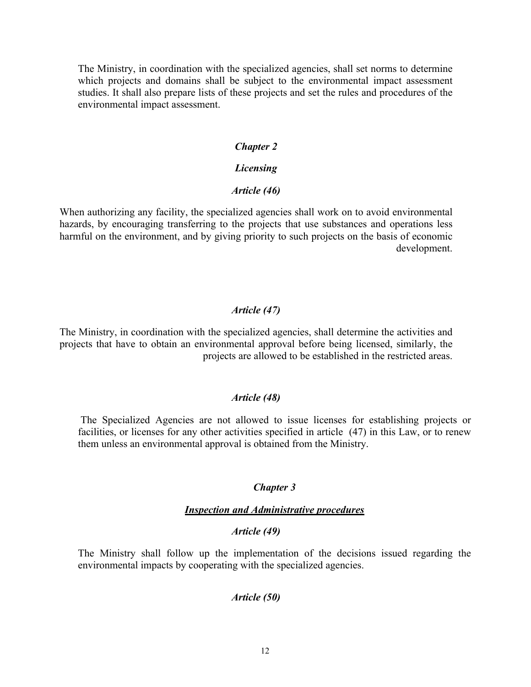The Ministry, in coordination with the specialized agencies, shall set norms to determine which projects and domains shall be subject to the environmental impact assessment studies. It shall also prepare lists of these projects and set the rules and procedures of the environmental impact assessment.

#### *Chapter 2*

# *Licensing*

# *Article (46)*

When authorizing any facility, the specialized agencies shall work on to avoid environmental hazards, by encouraging transferring to the projects that use substances and operations less harmful on the environment, and by giving priority to such projects on the basis of economic development.

# *Article (47)*

The Ministry, in coordination with the specialized agencies, shall determine the activities and projects that have to obtain an environmental approval before being licensed, similarly, the projects are allowed to be established in the restricted areas.

# *Article (48)*

The Specialized Agencies are not allowed to issue licenses for establishing projects or facilities, or licenses for any other activities specified in article (47) in this Law, or to renew them unless an environmental approval is obtained from the Ministry.

# *Chapter 3*

### *Inspection and Administrative procedures*

### *Article (49)*

The Ministry shall follow up the implementation of the decisions issued regarding the environmental impacts by cooperating with the specialized agencies.

# *Article (50)*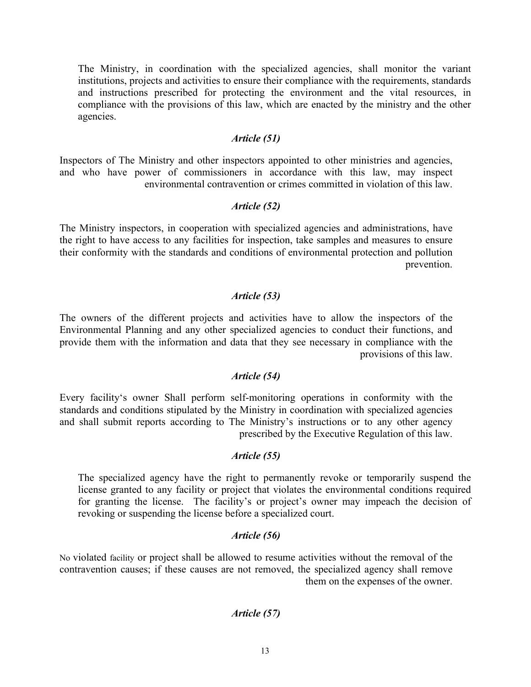The Ministry, in coordination with the specialized agencies, shall monitor the variant institutions, projects and activities to ensure their compliance with the requirements, standards and instructions prescribed for protecting the environment and the vital resources, in compliance with the provisions of this law, which are enacted by the ministry and the other agencies.

# *Article (51)*

Inspectors of The Ministry and other inspectors appointed to other ministries and agencies, and who have power of commissioners in accordance with this law, may inspect environmental contravention or crimes committed in violation of this law.

# *Article (52)*

The Ministry inspectors, in cooperation with specialized agencies and administrations, have the right to have access to any facilities for inspection, take samples and measures to ensure their conformity with the standards and conditions of environmental protection and pollution prevention.

# *Article (53)*

The owners of the different projects and activities have to allow the inspectors of the Environmental Planning and any other specialized agencies to conduct their functions, and provide them with the information and data that they see necessary in compliance with the provisions of this law.

# *Article (54)*

Every facility's owner Shall perform self-monitoring operations in conformity with the standards and conditions stipulated by the Ministry in coordination with specialized agencies and shall submit reports according to The Ministry's instructions or to any other agency prescribed by the Executive Regulation of this law.

#### *Article (55)*

The specialized agency have the right to permanently revoke or temporarily suspend the license granted to any facility or project that violates the environmental conditions required for granting the license. The facility's or project's owner may impeach the decision of revoking or suspending the license before a specialized court.

# *Article (56)*

No violated facility or project shall be allowed to resume activities without the removal of the contravention causes; if these causes are not removed, the specialized agency shall remove them on the expenses of the owner.

# *Article (57)*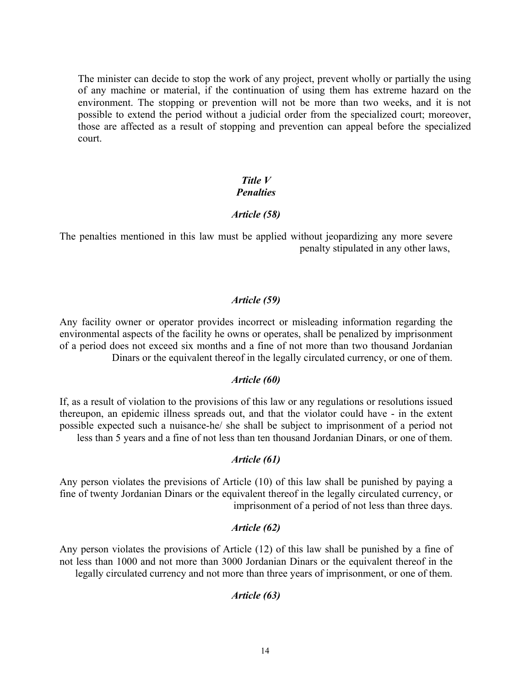The minister can decide to stop the work of any project, prevent wholly or partially the using of any machine or material, if the continuation of using them has extreme hazard on the environment. The stopping or prevention will not be more than two weeks, and it is not possible to extend the period without a judicial order from the specialized court; moreover, those are affected as a result of stopping and prevention can appeal before the specialized court.

# *Title V Penalties*

# *Article (58)*

The penalties mentioned in this law must be applied without jeopardizing any more severe penalty stipulated in any other laws,

# *Article (59)*

Any facility owner or operator provides incorrect or misleading information regarding the environmental aspects of the facility he owns or operates, shall be penalized by imprisonment of a period does not exceed six months and a fine of not more than two thousand Jordanian Dinars or the equivalent thereof in the legally circulated currency, or one of them.

# *Article (60)*

If, as a result of violation to the provisions of this law or any regulations or resolutions issued thereupon, an epidemic illness spreads out, and that the violator could have - in the extent possible expected such a nuisance-he/ she shall be subject to imprisonment of a period not less than 5 years and a fine of not less than ten thousand Jordanian Dinars, or one of them.

# *Article (61)*

Any person violates the previsions of Article (10) of this law shall be punished by paying a fine of twenty Jordanian Dinars or the equivalent thereof in the legally circulated currency, or imprisonment of a period of not less than three days.

# *Article (62)*

Any person violates the provisions of Article (12) of this law shall be punished by a fine of not less than 1000 and not more than 3000 Jordanian Dinars or the equivalent thereof in the legally circulated currency and not more than three years of imprisonment, or one of them.

# *Article (63)*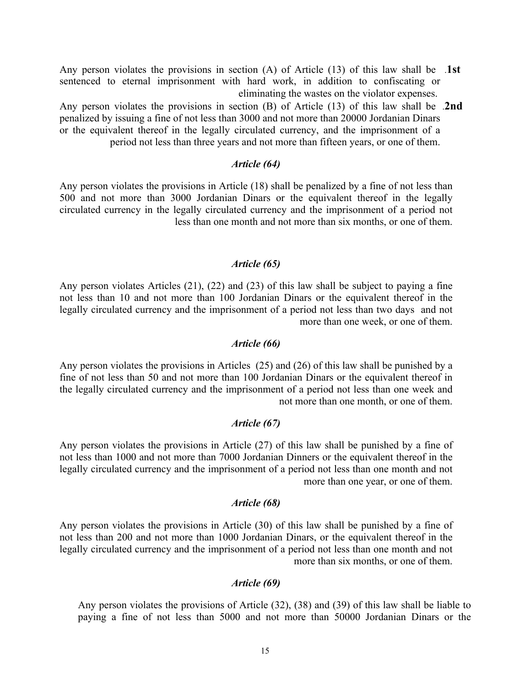- Any person violates the provisions in section (A) of Article (13) of this law shall be .**1st** sentenced to eternal imprisonment with hard work, in addition to confiscating or eliminating the wastes on the violator expenses.
- Any person violates the provisions in section (B) of Article (13) of this law shall be .**2nd** penalized by issuing a fine of not less than 3000 and not more than 20000 Jordanian Dinars or the equivalent thereof in the legally circulated currency, and the imprisonment of a period not less than three years and not more than fifteen years, or one of them.

## *Article (64)*

Any person violates the provisions in Article (18) shall be penalized by a fine of not less than 500 and not more than 3000 Jordanian Dinars or the equivalent thereof in the legally circulated currency in the legally circulated currency and the imprisonment of a period not less than one month and not more than six months, or one of them.

# *Article (65)*

Any person violates Articles (21), (22) and (23) of this law shall be subject to paying a fine not less than 10 and not more than 100 Jordanian Dinars or the equivalent thereof in the legally circulated currency and the imprisonment of a period not less than two days and not more than one week, or one of them.

#### *Article (66)*

Any person violates the provisions in Articles (25) and (26) of this law shall be punished by a fine of not less than 50 and not more than 100 Jordanian Dinars or the equivalent thereof in the legally circulated currency and the imprisonment of a period not less than one week and not more than one month, or one of them.

#### *Article (67)*

Any person violates the provisions in Article (27) of this law shall be punished by a fine of not less than 1000 and not more than 7000 Jordanian Dinners or the equivalent thereof in the legally circulated currency and the imprisonment of a period not less than one month and not more than one year, or one of them.

### *Article (68)*

Any person violates the provisions in Article (30) of this law shall be punished by a fine of not less than 200 and not more than 1000 Jordanian Dinars, or the equivalent thereof in the legally circulated currency and the imprisonment of a period not less than one month and not more than six months, or one of them.

# *Article (69)*

Any person violates the provisions of Article (32), (38) and (39) of this law shall be liable to paying a fine of not less than 5000 and not more than 50000 Jordanian Dinars or the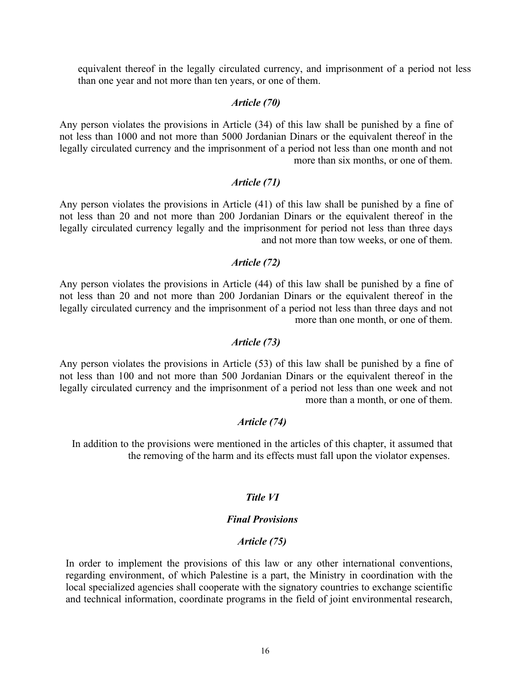equivalent thereof in the legally circulated currency, and imprisonment of a period not less than one year and not more than ten years, or one of them.

## *Article (70)*

Any person violates the provisions in Article (34) of this law shall be punished by a fine of not less than 1000 and not more than 5000 Jordanian Dinars or the equivalent thereof in the legally circulated currency and the imprisonment of a period not less than one month and not more than six months, or one of them.

# *Article (71)*

Any person violates the provisions in Article (41) of this law shall be punished by a fine of not less than 20 and not more than 200 Jordanian Dinars or the equivalent thereof in the legally circulated currency legally and the imprisonment for period not less than three days and not more than tow weeks, or one of them.

# *Article (72)*

Any person violates the provisions in Article (44) of this law shall be punished by a fine of not less than 20 and not more than 200 Jordanian Dinars or the equivalent thereof in the legally circulated currency and the imprisonment of a period not less than three days and not more than one month, or one of them.

#### *Article (73)*

Any person violates the provisions in Article (53) of this law shall be punished by a fine of not less than 100 and not more than 500 Jordanian Dinars or the equivalent thereof in the legally circulated currency and the imprisonment of a period not less than one week and not more than a month, or one of them.

# *Article (74)*

In addition to the provisions were mentioned in the articles of this chapter, it assumed that the removing of the harm and its effects must fall upon the violator expenses.

# *Title VI*

# *Final Provisions*

# *Article (75)*

In order to implement the provisions of this law or any other international conventions, regarding environment, of which Palestine is a part, the Ministry in coordination with the local specialized agencies shall cooperate with the signatory countries to exchange scientific and technical information, coordinate programs in the field of joint environmental research,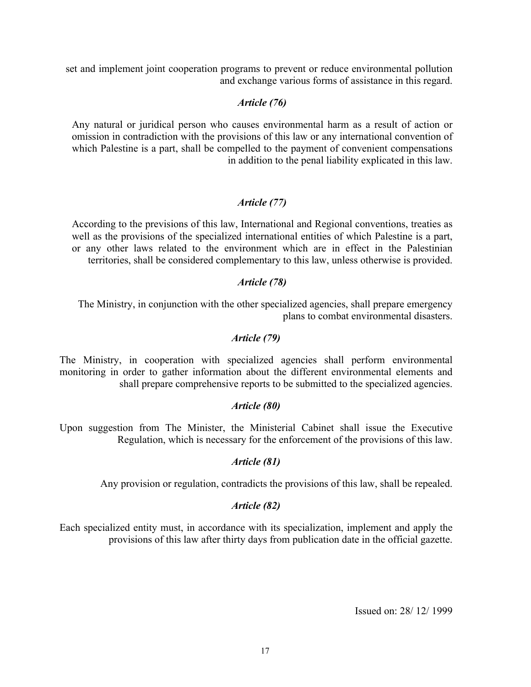set and implement joint cooperation programs to prevent or reduce environmental pollution and exchange various forms of assistance in this regard.

# *Article (76)*

Any natural or juridical person who causes environmental harm as a result of action or omission in contradiction with the provisions of this law or any international convention of which Palestine is a part, shall be compelled to the payment of convenient compensations in addition to the penal liability explicated in this law.

# *Article (77)*

According to the previsions of this law, International and Regional conventions, treaties as well as the provisions of the specialized international entities of which Palestine is a part, or any other laws related to the environment which are in effect in the Palestinian territories, shall be considered complementary to this law, unless otherwise is provided.

# *Article (78)*

The Ministry, in conjunction with the other specialized agencies, shall prepare emergency plans to combat environmental disasters.

# *Article (79)*

The Ministry, in cooperation with specialized agencies shall perform environmental monitoring in order to gather information about the different environmental elements and shall prepare comprehensive reports to be submitted to the specialized agencies.

# *Article (80)*

Upon suggestion from The Minister, the Ministerial Cabinet shall issue the Executive Regulation, which is necessary for the enforcement of the provisions of this law.

# *Article (81)*

Any provision or regulation, contradicts the provisions of this law, shall be repealed.

# *Article (82)*

Each specialized entity must, in accordance with its specialization, implement and apply the provisions of this law after thirty days from publication date in the official gazette.

Issued on: 28/ 12/ 1999